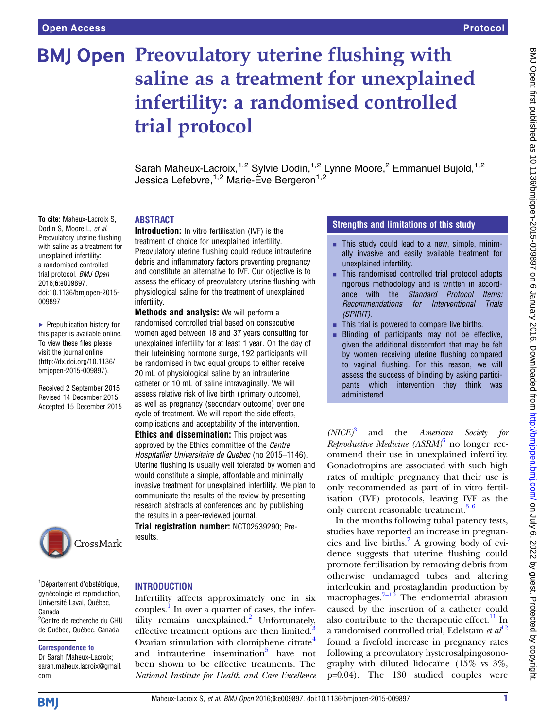To cite: Maheux-Lacroix S, Dodin S, Moore L, et al. Preovulatory uterine flushing with saline as a treatment for unexplained infertility: a randomised controlled trial protocol. BMJ Open 2016;6:e009897.

doi:10.1136/bmjopen-2015-

▶ Prepublication history for this paper is available online. To view these files please visit the journal online [\(http://dx.doi.org/10.1136/](http://dx.doi.org/10.1136/bmjopen-2015-009897) [bmjopen-2015-009897](http://dx.doi.org/10.1136/bmjopen-2015-009897)). Received 2 September 2015 Revised 14 December 2015 Accepted 15 December 2015

009897

# **BMJ Open Preovulatory uterine flushing with** saline as a treatment for unexplained infertility: a randomised controlled trial protocol

Sarah Maheux-Lacroix,<sup>1,2</sup> Sylvie Dodin,<sup>1,2</sup> Lynne Moore,<sup>2</sup> Emmanuel Bujold,<sup>1,2</sup> Jessica Lefebvre,<sup>1,2</sup> Marie-Ève Bergeron<sup>1,2</sup>

#### ABSTRACT

Introduction: In vitro fertilisation (IVF) is the treatment of choice for unexplained infertility. Preovulatory uterine flushing could reduce intrauterine debris and inflammatory factors preventing pregnancy and constitute an alternative to IVF. Our objective is to assess the efficacy of preovulatory uterine flushing with physiological saline for the treatment of unexplained infertility.

Methods and analysis: We will perform a randomised controlled trial based on consecutive women aged between 18 and 37 years consulting for unexplained infertility for at least 1 year. On the day of their luteinising hormone surge, 192 participants will be randomised in two equal groups to either receive 20 mL of physiological saline by an intrauterine catheter or 10 mL of saline intravaginally. We will assess relative risk of live birth ( primary outcome), as well as pregnancy (secondary outcome) over one cycle of treatment. We will report the side effects, complications and acceptability of the intervention. Ethics and dissemination: This project was approved by the Ethics committee of the Centre Hospitatlier Universitaire de Quebec (no 2015–1146). Uterine flushing is usually well tolerated by women and would constitute a simple, affordable and minimally invasive treatment for unexplained infertility. We plan to communicate the results of the review by presenting research abstracts at conferences and by publishing the results in a peer-reviewed journal.

Trial registration number: NCT02539290; Preresults.

# CrossMark

1Département d'obstétrique, gynécologie et reproduction, Université Laval, Québec, Canada <sup>2</sup>Centre de recherche du CHU de Québec, Québec, Canada

#### Correspondence to

Dr Sarah Maheux-Lacroix; sarah.maheux.lacroix@gmail. com

#### **INTRODUCTION**

Infertility affects approximately one in six couples. $\frac{1}{1}$  $\frac{1}{1}$  $\frac{1}{1}$  In over a quarter of cases, the infertility remains unexplained. $\frac{2}{3}$  $\frac{2}{3}$  $\frac{2}{3}$  Unfortunately, effective treatment options are then limited. $\ddot{\cdot}$ Ovarian stimulation with clomiphene citrate<sup>[4](#page-4-0)</sup> and intrauterine insemination<sup>3</sup> have not been shown to be effective treatments. The National Institute for Health and Care Excellence

#### Strengths and limitations of this study

- $\blacksquare$  This study could lead to a new, simple, minimally invasive and easily available treatment for unexplained infertility.
- This randomised controlled trial protocol adopts rigorous methodology and is written in accordance with the Standard Protocol Items: Recommendations for Interventional Trials (SPIRIT).
- $\blacksquare$  This trial is powered to compare live births.
- Blinding of participants may not be effective, given the additional discomfort that may be felt by women receiving uterine flushing compared to vaginal flushing. For this reason, we will assess the success of blinding by asking participants which intervention they think was administered.

 $(NICE)^3$  $(NICE)^3$  and the American Society for *Reproductive Medicine (ASRM)*<sup>[6](#page-4-0)</sup> no longer recommend their use in unexplained infertility. Gonadotropins are associated with such high rates of multiple pregnancy that their use is only recommended as part of in vitro fertilisation (IVF) protocols, leaving IVF as the only current reasonable treatment.<sup>3</sup> <sup>6</sup>

In the months following tubal patency tests, studies have reported an increase in pregnancies and live births.[7](#page-4-0) A growing body of evidence suggests that uterine flushing could promote fertilisation by removing debris from otherwise undamaged tubes and altering interleukin and prostaglandin production by macrophages.<sup>7-[10](#page-4-0)</sup> The endometrial abrasion caused by the insertion of a catheter could also contribute to the therapeutic effect. $\frac{11}{11}$  $\frac{11}{11}$  $\frac{11}{11}$  In a randomised controlled trial, Edelstam et  $al^{12}$  $al^{12}$  $al^{12}$ found a fivefold increase in pregnancy rates following a preovulatory hysterosalpingosonography with diluted lidocaïne (15% vs 3%, p=0.04). The 130 studied couples were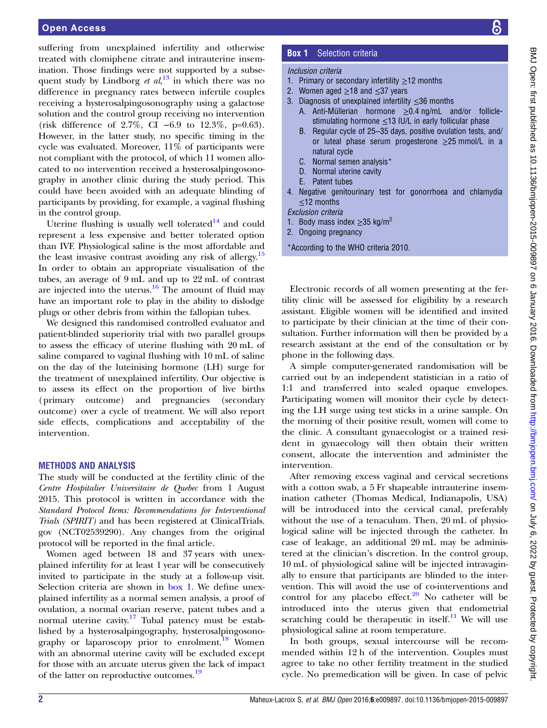suffering from unexplained infertility and otherwise treated with clomiphene citrate and intrauterine insemination. Those findings were not supported by a subsequent study by Lindborg et  $al$ ,<sup>[13](#page-4-0)</sup> in which there was no difference in pregnancy rates between infertile couples receiving a hysterosalpingosonography using a galactose solution and the control group receiving no intervention (risk difference of 2.7%, CI −6.9 to 12.3%, p=0.63). However, in the latter study, no specific timing in the cycle was evaluated. Moreover, 11% of participants were not compliant with the protocol, of which 11 women allocated to no intervention received a hysterosalpingosonography in another clinic during the study period. This could have been avoided with an adequate blinding of participants by providing, for example, a vaginal flushing in the control group.

Uterine flushing is usually well tolerated $14$  and could represent a less expensive and better tolerated option than IVF. Physiological saline is the most affordable and the least invasive contrast avoiding any risk of allergy.<sup>[15](#page-4-0)</sup> In order to obtain an appropriate visualisation of the tubes, an average of 9 mL and up to 22 mL of contrast are injected into the uterus.<sup>[16](#page-4-0)</sup> The amount of fluid may have an important role to play in the ability to dislodge plugs or other debris from within the fallopian tubes.

We designed this randomised controlled evaluator and patient-blinded superiority trial with two parallel groups to assess the efficacy of uterine flushing with 20 mL of saline compared to vaginal flushing with 10 mL of saline on the day of the luteinising hormone (LH) surge for the treatment of unexplained infertility. Our objective is to assess its effect on the proportion of live births (primary outcome) and pregnancies (secondary outcome) over a cycle of treatment. We will also report side effects, complications and acceptability of the intervention.

#### METHODS AND ANALYSIS

The study will be conducted at the fertility clinic of the Centre Hospitalier Universitaire de Quebec from 1 August 2015. This protocol is written in accordance with the Standard Protocol Items: Recommendations for Interventional Trials (SPIRIT) and has been registered at ClinicalTrials. gov (NCT02539290). Any changes from the original protocol will be reported in the final article.

Women aged between 18 and 37 years with unexplained infertility for at least 1 year will be consecutively invited to participate in the study at a follow-up visit. Selection criteria are shown in box 1. We define unexplained infertility as a normal semen analysis, a proof of ovulation, a normal ovarian reserve, patent tubes and a normal uterine cavity.<sup>[17](#page-4-0)</sup> Tubal patency must be established by a hysterosalpingography, hysterosalpingosono-graphy or laparoscopy prior to enrolment.<sup>[18](#page-4-0)</sup> Women with an abnormal uterine cavity will be excluded except for those with an arcuate uterus given the lack of impact of the latter on reproductive outcomes.<sup>[19](#page-4-0)</sup>

#### **Box 1** Selection criteria

#### Inclusion criteria

- 1. Primary or secondary infertility ≥12 months
- 2. Women aged ≥18 and ≤37 years
- 3. Diagnosis of unexplained infertility ≤36 months A. Anti-Müllerian hormone ≥0.4 ng/mL and/or folliclestimulating hormone ≤13 IU/L in early follicular phase
	- B. Regular cycle of 25–35 days, positive ovulation tests, and/ or luteal phase serum progesterone ≥25 mmol/L in a natural cycle
	- C. Normal semen analysis\*
	- D. Normal uterine cavity
	- E. Patent tubes
- 4. Negative genitourinary test for gonorrhoea and chlamydia ≤12 months

Exclusion criteria

- 1. Body mass index  $\geq$ 35 kg/m<sup>2</sup>
- 2. Ongoing pregnancy
- \*According to the WHO criteria 2010.

Electronic records of all women presenting at the fertility clinic will be assessed for eligibility by a research assistant. Eligible women will be identified and invited to participate by their clinician at the time of their consultation. Further information will then be provided by a research assistant at the end of the consultation or by phone in the following days.

A simple computer-generated randomisation will be carried out by an independent statistician in a ratio of 1:1 and transferred into sealed opaque envelopes. Participating women will monitor their cycle by detecting the LH surge using test sticks in a urine sample. On the morning of their positive result, women will come to the clinic. A consultant gynaecologist or a trained resident in gynaecology will then obtain their written consent, allocate the intervention and administer the intervention.

After removing excess vaginal and cervical secretions with a cotton swab, a 5 Fr shapeable intrauterine insemination catheter (Thomas Medical, Indianapolis, USA) will be introduced into the cervical canal, preferably without the use of a tenaculum. Then, 20 mL of physiological saline will be injected through the catheter. In case of leakage, an additional 20 mL may be administered at the clinician's discretion. In the control group, 10 mL of physiological saline will be injected intravaginally to ensure that participants are blinded to the intervention. This will avoid the use of co-interventions and control for any placebo effect. $20$  No catheter will be introduced into the uterus given that endometrial scratching could be therapeutic in itself. $^{11}$  $^{11}$  $^{11}$  We will use physiological saline at room temperature.

In both groups, sexual intercourse will be recommended within 12 h of the intervention. Couples must agree to take no other fertility treatment in the studied cycle. No premedication will be given. In case of pelvic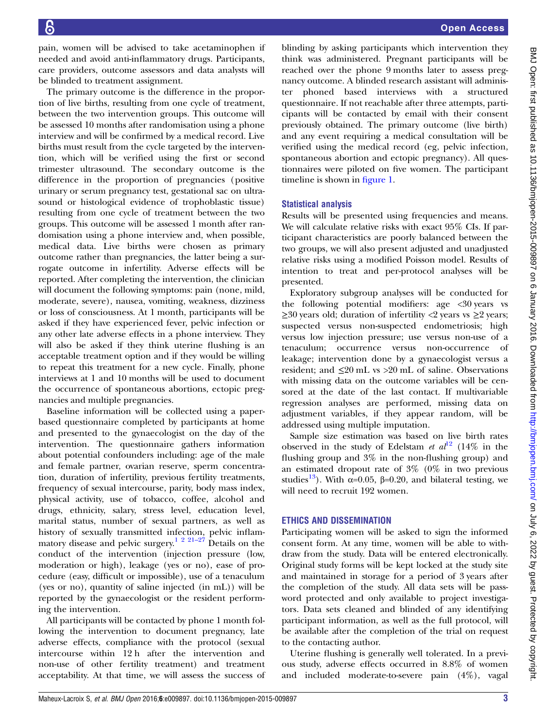pain, women will be advised to take acetaminophen if needed and avoid anti-inflammatory drugs. Participants, care providers, outcome assessors and data analysts will be blinded to treatment assignment.

The primary outcome is the difference in the proportion of live births, resulting from one cycle of treatment, between the two intervention groups. This outcome will be assessed 10 months after randomisation using a phone interview and will be confirmed by a medical record. Live births must result from the cycle targeted by the intervention, which will be verified using the first or second trimester ultrasound. The secondary outcome is the difference in the proportion of pregnancies (positive urinary or serum pregnancy test, gestational sac on ultrasound or histological evidence of trophoblastic tissue) resulting from one cycle of treatment between the two groups. This outcome will be assessed 1 month after randomisation using a phone interview and, when possible, medical data. Live births were chosen as primary outcome rather than pregnancies, the latter being a surrogate outcome in infertility. Adverse effects will be reported. After completing the intervention, the clinician will document the following symptoms: pain (none, mild, moderate, severe), nausea, vomiting, weakness, dizziness or loss of consciousness. At 1 month, participants will be asked if they have experienced fever, pelvic infection or any other late adverse effects in a phone interview. They will also be asked if they think uterine flushing is an acceptable treatment option and if they would be willing to repeat this treatment for a new cycle. Finally, phone interviews at 1 and 10 months will be used to document the occurrence of spontaneous abortions, ectopic pregnancies and multiple pregnancies.

Baseline information will be collected using a paperbased questionnaire completed by participants at home and presented to the gynaecologist on the day of the intervention. The questionnaire gathers information about potential confounders including: age of the male and female partner, ovarian reserve, sperm concentration, duration of infertility, previous fertility treatments, frequency of sexual intercourse, parity, body mass index, physical activity, use of tobacco, coffee, alcohol and drugs, ethnicity, salary, stress level, education level, marital status, number of sexual partners, as well as history of sexually transmitted infection, pelvic inflam-matory disease and pelvic surgery.<sup>1 2 [21](#page-4-0)–27</sup> Details on the conduct of the intervention (injection pressure (low, moderation or high), leakage (yes or no), ease of procedure (easy, difficult or impossible), use of a tenaculum (yes or no), quantity of saline injected (in mL)) will be reported by the gynaecologist or the resident performing the intervention.

All participants will be contacted by phone 1 month following the intervention to document pregnancy, late adverse effects, compliance with the protocol (sexual intercourse within 12 h after the intervention and non-use of other fertility treatment) and treatment acceptability. At that time, we will assess the success of blinding by asking participants which intervention they think was administered. Pregnant participants will be reached over the phone 9 months later to assess pregnancy outcome. A blinded research assistant will administer phoned based interviews with a structured questionnaire. If not reachable after three attempts, participants will be contacted by email with their consent previously obtained. The primary outcome (live birth) and any event requiring a medical consultation will be verified using the medical record (eg, pelvic infection, spontaneous abortion and ectopic pregnancy). All questionnaires were piloted on five women. The participant timeline is shown in fi[gure 1.](#page-3-0)

#### Statistical analysis

Results will be presented using frequencies and means. We will calculate relative risks with exact 95% CIs. If participant characteristics are poorly balanced between the two groups, we will also present adjusted and unadjusted relative risks using a modified Poisson model. Results of intention to treat and per-protocol analyses will be presented.

Exploratory subgroup analyses will be conducted for the following potential modifiers: age <30 years vs  $\geq$ 30 years old; duration of infertility <2 years vs  $\geq$ 2 years; suspected versus non-suspected endometriosis; high versus low injection pressure; use versus non-use of a tenaculum; occurrence versus non-occurrence of leakage; intervention done by a gynaecologist versus a resident; and  $\leq 20$  mL vs > 20 mL of saline. Observations with missing data on the outcome variables will be censored at the date of the last contact. If multivariable regression analyses are performed, missing data on adjustment variables, if they appear random, will be addressed using multiple imputation.

Sample size estimation was based on live birth rates observed in the study of Edelstam et  $al^{12}$  $al^{12}$  $al^{12}$  (14% in the flushing group and 3% in the non-flushing group) and an estimated dropout rate of 3% (0% in two previous studies<sup>13</sup>). With α=0.05, β=0.20, and bilateral testing, we will need to recruit 192 women.

### ETHICS AND DISSEMINATION

Participating women will be asked to sign the informed consent form. At any time, women will be able to withdraw from the study. Data will be entered electronically. Original study forms will be kept locked at the study site and maintained in storage for a period of 3 years after the completion of the study. All data sets will be password protected and only available to project investigators. Data sets cleaned and blinded of any identifying participant information, as well as the full protocol, will be available after the completion of the trial on request to the contacting author.

Uterine flushing is generally well tolerated. In a previous study, adverse effects occurred in 8.8% of women and included moderate-to-severe pain (4%), vagal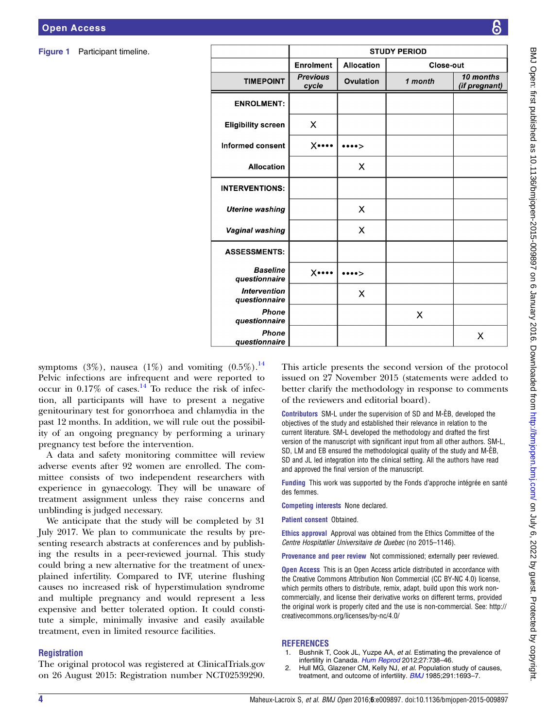#### <span id="page-3-0"></span>Figure 1 Participant timeline.

|                                      | <b>STUDY PERIOD</b>      |                   |                  |                            |
|--------------------------------------|--------------------------|-------------------|------------------|----------------------------|
|                                      | <b>Enrolment</b>         | <b>Allocation</b> | <b>Close-out</b> |                            |
| <b>TIMEPOINT</b>                     | <b>Previous</b><br>cycle | <b>Ovulation</b>  | 1 month          | 10 months<br>(if pregnant) |
| <b>ENROLMENT:</b>                    |                          |                   |                  |                            |
| <b>Eligibility screen</b>            | X                        |                   |                  |                            |
| <b>Informed consent</b>              | $X \cdots$               | $\cdots$          |                  |                            |
| <b>Allocation</b>                    |                          | x                 |                  |                            |
| <b>INTERVENTIONS:</b>                |                          |                   |                  |                            |
| <b>Uterine washing</b>               |                          | X                 |                  |                            |
| <b>Vaginal washing</b>               |                          | X                 |                  |                            |
| <b>ASSESSMENTS:</b>                  |                          |                   |                  |                            |
| <b>Baseline</b><br>questionnaire     | $X$                      | $\cdots$          |                  |                            |
| <b>Intervention</b><br>questionnaire |                          | X                 |                  |                            |
| <b>Phone</b><br>questionnaire        |                          |                   | X                |                            |
| <b>Phone</b><br>questionnaire        |                          |                   |                  | X                          |

symptoms (3%), nausea (1%) and vomiting  $(0.5\%)$ .<sup>[14](#page-4-0)</sup> Pelvic infections are infrequent and were reported to occur in  $0.17\%$  of cases.<sup>[14](#page-4-0)</sup> To reduce the risk of infection, all participants will have to present a negative genitourinary test for gonorrhoea and chlamydia in the past 12 months. In addition, we will rule out the possibility of an ongoing pregnancy by performing a urinary pregnancy test before the intervention.

A data and safety monitoring committee will review adverse events after 92 women are enrolled. The committee consists of two independent researchers with experience in gynaecology. They will be unaware of treatment assignment unless they raise concerns and unblinding is judged necessary.

We anticipate that the study will be completed by 31 July 2017. We plan to communicate the results by presenting research abstracts at conferences and by publishing the results in a peer-reviewed journal. This study could bring a new alternative for the treatment of unexplained infertility. Compared to IVF, uterine flushing causes no increased risk of hyperstimulation syndrome and multiple pregnancy and would represent a less expensive and better tolerated option. It could constitute a simple, minimally invasive and easily available treatment, even in limited resource facilities.

#### **Registration**

The original protocol was registered at ClinicalTrials.gov on 26 August 2015: Registration number NCT02539290.

This article presents the second version of the protocol issued on 27 November 2015 (statements were added to better clarify the methodology in response to comments of the reviewers and editorial board).

Contributors SM-L under the supervision of SD and M-ÈB, developed the objectives of the study and established their relevance in relation to the current literature. SM-L developed the methodology and drafted the first version of the manuscript with significant input from all other authors. SM-L, SD, LM and EB ensured the methodological quality of the study and M-ÈB, SD and JL led integration into the clinical setting. All the authors have read and approved the final version of the manuscript.

Funding This work was supported by the Fonds d'approche intégrée en santé des femmes.

Competing interests None declared.

Patient consent Obtained.

Ethics approval Approval was obtained from the Ethics Committee of the Centre Hospitatlier Universitaire de Quebec (no 2015–1146).

Provenance and peer review Not commissioned; externally peer reviewed.

**Open Access** This is an Open Access article distributed in accordance with the Creative Commons Attribution Non Commercial (CC BY-NC 4.0) license, which permits others to distribute, remix, adapt, build upon this work noncommercially, and license their derivative works on different terms, provided the original work is properly cited and the use is non-commercial. See: [http://](http://creativecommons.org/licenses/by-nc/4.0/) [creativecommons.org/licenses/by-nc/4.0/](http://creativecommons.org/licenses/by-nc/4.0/)

#### **REFERENCES**

- 1. Bushnik T, Cook JL, Yuzpe AA, et al. Estimating the prevalence of infertility in Canada. [Hum Reprod](http://dx.doi.org/10.1093/humrep/der465) 2012;27:738–46.
- 2. Hull MG, Glazener CM, Kelly NJ, et al. Population study of causes. treatment, and outcome of infertility. **[BMJ](http://dx.doi.org/10.1136/bmj.291.6510.1693)** 1985;291:1693-7.